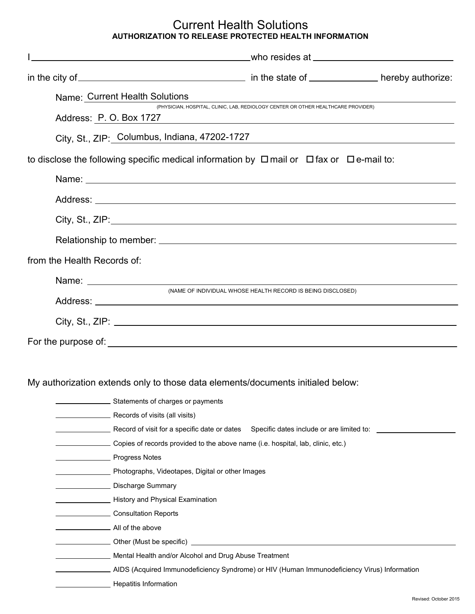## Current Health Solutions **AUTHORIZATION TO RELEASE PROTECTED HEALTH INFORMATION**

| Name: Current Health Solutions                                                                           |                                                                                   |  |
|----------------------------------------------------------------------------------------------------------|-----------------------------------------------------------------------------------|--|
| Address: P.O. Box 1727                                                                                   | (PHYSICIAN, HOSPITAL, CLINIC, LAB, REDIOLOGY CENTER OR OTHER HEALTHCARE PROVIDER) |  |
| City, St., ZIP: Columbus, Indiana, 47202-1727                                                            |                                                                                   |  |
| to disclose the following specific medical information by $\Box$ mail or $\Box$ fax or $\Box$ e-mail to: |                                                                                   |  |
|                                                                                                          |                                                                                   |  |
|                                                                                                          |                                                                                   |  |
|                                                                                                          |                                                                                   |  |
|                                                                                                          |                                                                                   |  |
| from the Health Records of:                                                                              |                                                                                   |  |
|                                                                                                          |                                                                                   |  |
|                                                                                                          | (NAME OF INDIVIDUAL WHOSE HEALTH RECORD IS BEING DISCLOSED)                       |  |
| City, St., ZIP: $\angle$                                                                                 |                                                                                   |  |
| For the purpose of:                                                                                      |                                                                                   |  |

My authorization extends only to those data elements/documents initialed below:

| . Statements of charges or payments                                                           |                                                                                                       |  |
|-----------------------------------------------------------------------------------------------|-------------------------------------------------------------------------------------------------------|--|
| __ Records of visits (all visits)                                                             |                                                                                                       |  |
|                                                                                               | erage Record of visit for a specific date or dates Specific dates include or are limited to: elements |  |
| Copies of records provided to the above name (i.e. hospital, lab, clinic, etc.)               |                                                                                                       |  |
| _ Progress Notes                                                                              |                                                                                                       |  |
| Photographs, Videotapes, Digital or other Images                                              |                                                                                                       |  |
| __ Discharge Summary                                                                          |                                                                                                       |  |
| History and Physical Examination                                                              |                                                                                                       |  |
| Consultation Reports                                                                          |                                                                                                       |  |
| All of the above                                                                              |                                                                                                       |  |
| __ Other (Must be specific) _                                                                 |                                                                                                       |  |
| Mental Health and/or Alcohol and Drug Abuse Treatment                                         |                                                                                                       |  |
| . AIDS (Acquired Immunodeficiency Syndrome) or HIV (Human Immunodeficiency Virus) Information |                                                                                                       |  |
| Hepatitis Information                                                                         |                                                                                                       |  |